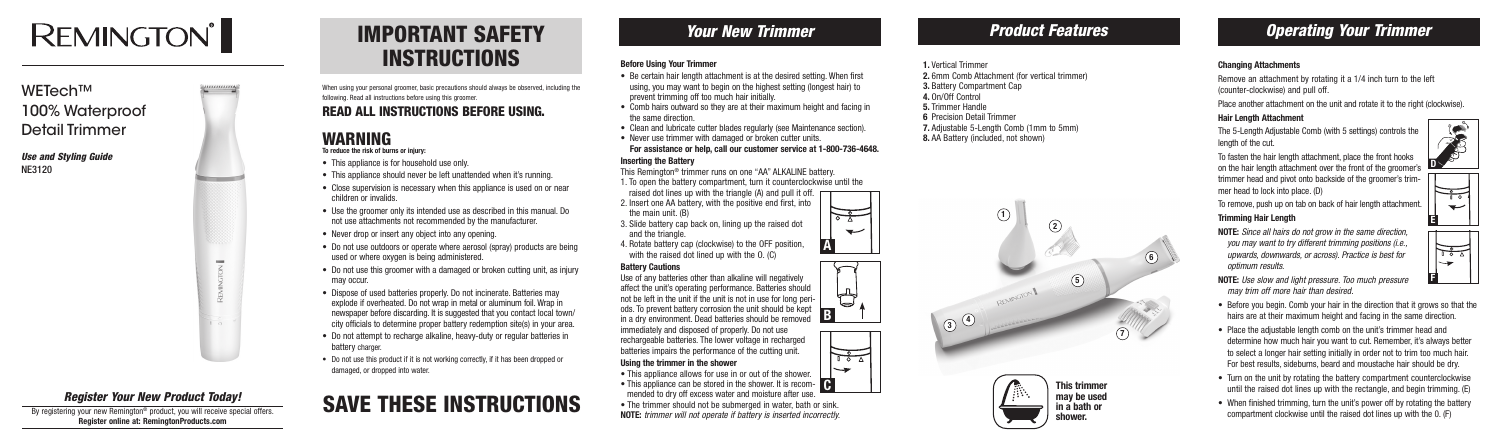### *Your New Trimmer*

#### **Before Using Your Trimmer**

- Be certain hair length attachment is at the desired setting. When first using, you may want to begin on the highest setting (longest hair) to prevent trimming off too much hair initially.
- Comb hairs outward so they are at their maximum height and facing in the same direction.
- Clean and lubricate cutter blades regularly (see Maintenance section).
- Never use trimmer with damaged or broken cutter units. **For assistance or help, call our customer service at 1-800-736-4648.**

Use of any batteries other than alkaline will negatively affect the unit's operating performance. Batteries should not be left in the unit if the unit is not in use for long periods. To prevent battery corrosion the unit should be kept ous. To prevent battery corrosion the unit should be kept **B**<br>in a dry environment. Dead batteries should be removed **B** 

#### **Inserting the Battery**

- This Remington® trimmer runs on one "AA" ALKALINE battery.
- 1. To open the battery compartment, turn it counterclockwise until the
- raised dot lines up with the triangle (A) and pull it off.
- 2. Insert one AA battery, with the positive end first, into the main unit. (B)
- 3. Slide battery cap back on, lining up the raised dot and the triangle.
- 4. Rotate battery cap (clockwise) to the OFF position, with the raised dot lined up with the O. (C)

#### **Battery Cautions**

immediately and disposed of properly. Do not use rechargeable batteries. The lower voltage in recharged batteries impairs the performance of the cutting unit.

#### **Using the trimmer in the shower**

- This appliance is for household use only.
- This appliance should never be left unattended when it's running.
- Close supervision is necessary when this appliance is used on or near children or invalids.
- Use the groomer only its intended use as described in this manual. Do not use attachments not recommended by the manufacturer.
- Never drop or insert any object into any opening.
- Do not use outdoors or operate where aerosol (spray) products are being used or where oxygen is being administered.
- Do not use this groomer with a damaged or broken cutting unit, as injury may occur.
- Dispose of used batteries properly. Do not incinerate. Batteries may explode if overheated. Do not wrap in metal or aluminum foil. Wrap in newspaper before discarding. It is suggested that you contact local town/ city officials to determine proper battery redemption site(s) in your area.
- Do not attempt to recharge alkaline, heavy-duty or regular batteries in battery charger.
- Do not use this product if it is not working correctly, if it has been dropped or damaged, or dropped into water.

## **SAVE THESE INSTRUCTIONS** The trimmer should not be submerged in water, bath or sink.<br>Note: trimmer will not operate if battery is inserted incorrectly.

- This appliance allows for use in or out of the shower.
- This appliance can be stored in the shower. It is recom-**C** mended to dry off excess water and moisture after use.
- The trimmer should not be submerged in water, bath or sink.
- **NOTE:** *trimmer will not operate if battery is inserted incorrectly.*

### IMPORTANT SAFETY INSTRUCTIONS

When using your personal groomer, basic precautions should always be observed, including the following. Read all instructions before using this groomer.

### READ ALL INSTRUCTIONS BEFORE USING.

### WARNING

**To reduce the risk of burns or injury:**

By registering your new Remington<sup>®</sup> product, you will receive special offers. **Register online at: RemingtonProducts.com**

### *Product Features Operating Your Trimmer*

#### **Changing Attachments**

Remove an attachment by rotating it a 1/4 inch turn to the left (counter-clockwise) and pull off.

Place another attachment on the unit and rotate it to the right (clockwise).

#### **Hair Length Attachment**

The 5-Length Adjustable Comb (with 5 settings) controls the length of the cut.

To fasten the hair length attachment, place the front hooks on the hair length attachment over the front of the groomer's trimmer head and pivot onto backside of the groomer's trimmer head to lock into place. (D)

To remove, push up on tab on back of hair length attachment.

#### **Trimming Hair Length**

**NOTE:** *Since all hairs do not grow in the same direction, you may want to try different trimming positions (i.e., upwards, downwards, or across). Practice is best for optimum results.*

- **NOTE:** *Use slow and light pressure. Too much pressure may trim off more hair than desired.*
- Before you begin. Comb your hair in the direction that it grows so that the hairs are at their maximum height and facing in the same direction.
- Place the adjustable length comb on the unit's trimmer head and determine how much hair you want to cut. Remember, it's always better to select a longer hair setting initially in order not to trim too much hair. For best results, sideburns, beard and moustache hair should be dry.
- Turn on the unit by rotating the battery compartment counterclockwise until the raised dot lines up with the rectangle, and begin trimming. (E)
- 

# **REMINGTON®**

### WETech™ 100% Waterproof Detail Trimmer

*Use and Styling Guide* NE3120



### *Register Your New Product Today!*





 $\frac{1}{\sqrt{2}}$  $\overline{\phantom{0}}$ 

- **1.** Vertical Trimmer **2.** 6mm Comb Attachment (for vertical trimmer) **3.** Battery Compartment Cap **4.** On/Off Control **5.** Trimmer Handle
- **6** Precision Detail Trimmer
- **7.** Adjustable 5-Length Comb (1mm to 5mm)
- **8.** AA Battery (included, not shown)











**This trimmer may be used in a bath or shower.**